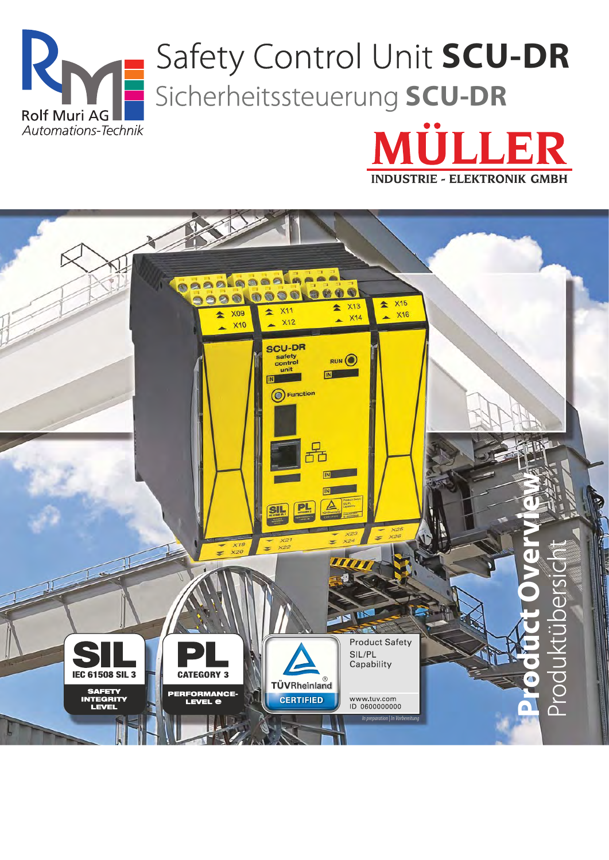



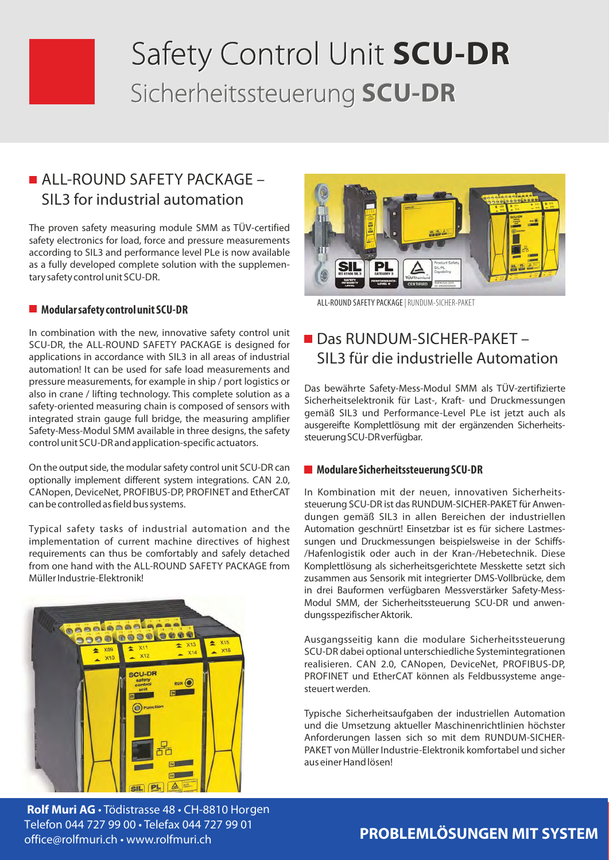# Safety Control Unit SCU-DR Sicherheitssteuerung SCU-DR

# ALL-ROUND SAFETY PACKAGE -SIL3 for industrial automation

The proven safety measuring module SMM as TÜV-certified safety electronics for load, force and pressure measurements according to SIL3 and performance level PLe is now available as a fully developed complete solution with the supplementary safety control unit SCU-DR.

#### $\blacksquare$  Modular safety control unit SCU-DR

In combination with the new, innovative safety control unit SCU-DR, the ALL-ROUND SAFETY PACKAGE is designed for applications in accordance with SIL3 in all areas of industrial automation! It can be used for safe load measurements and pressure measurements, for example in ship / port logistics or also in crane / lifting technology. This complete solution as a safety-oriented measuring chain is composed of sensors with integrated strain gauge full bridge, the measuring amplifier Safety-Mess-Modul SMM available in three designs, the safety control unit SCU-DR and application-specific actuators.

On the output side, the modular safety control unit SCU-DR can optionally implement different system integrations. CAN 2.0, CANopen, DeviceNet, PROFIBUS-DP, PROFINET and EtherCAT can be controlled as field bus systems.

Typical safety tasks of industrial automation and the implementation of current machine directives of highest requirements can thus be comfortably and safely detached from one hand with the ALL-ROUND SAFFTY PACKAGE from Müller Industrie-Elektronik!



Rolf Muri AG · Tödistrasse 48 · CH-8810 Horgen Telefon 044 727 99 00 . Telefax 044 727 99 01 office@rolfmuri.ch · www.rolfmuri.ch



ALL-ROUND SAFETY PACKAGE | RUNDUM-SICHER-PAKET

#### Das RUNDUM-SICHER-PAKET-SIL3 für die industrielle Automation

Das bewährte Safety-Mess-Modul SMM als TÜV-zertifizierte Sicherheitselektronik für Last-, Kraft- und Druckmessungen gemäß SIL3 und Performance-Level PLe ist jetzt auch als ausgereifte Komplettlösung mit der ergänzenden Sicherheitssteuerung SCU-DR verfügbar.

#### Modulare Sicherheitssteuerung SCU-DR

In Kombination mit der neuen, innovativen Sicherheitssteuerung SCU-DR ist das RUNDUM-SICHER-PAKET für Anwendungen gemäß SIL3 in allen Bereichen der industriellen Automation geschnürt! Einsetzbar ist es für sichere Lastmessungen und Druckmessungen beispielsweise in der Schiffs-/Hafenlogistik oder auch in der Kran-/Hebetechnik. Diese Komplettlösung als sicherheitsgerichtete Messkette setzt sich zusammen aus Sensorik mit integrierter DMS-Vollbrücke, dem in drei Bauformen verfügbaren Messverstärker Safety-Mess-Modul SMM, der Sicherheitssteuerung SCU-DR und anwendungsspezifischer Aktorik.

Ausgangsseitig kann die modulare Sicherheitssteuerung SCU-DR dabei optional unterschiedliche Systemintegrationen realisieren. CAN 2.0, CANopen, DeviceNet, PROFIBUS-DP, PROFINET und EtherCAT können als Feldbussysteme angesteuert werden.

Typische Sicherheitsaufgaben der industriellen Automation und die Umsetzung aktueller Maschinenrichtlinien höchster Anforderungen lassen sich so mit dem RUNDUM-SICHER-PAKET von Müller Industrie-Elektronik komfortabel und sicher aus einer Hand lösen!

#### **PROBLEMLÖSUNGEN MIT SYSTEM**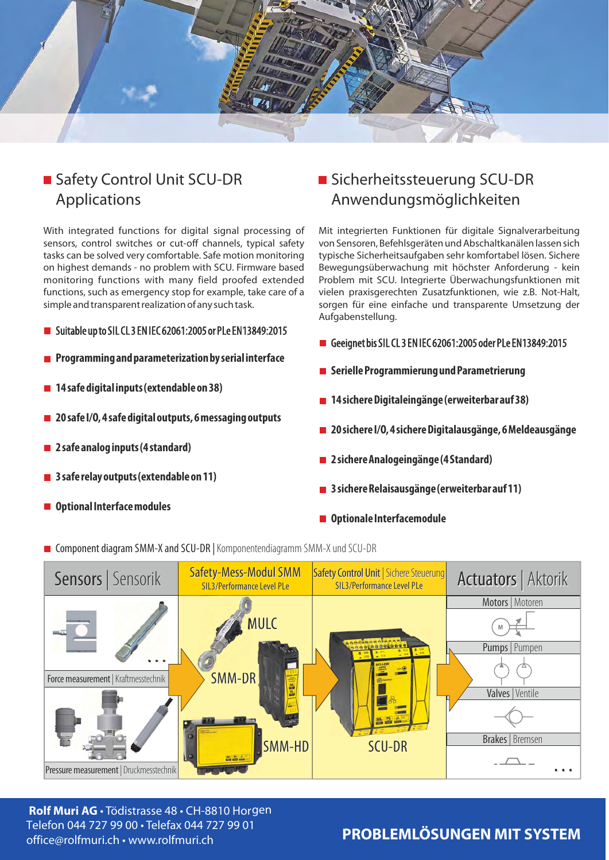

### Safety Control Unit SCU-DR **Applications**

With integrated functions for digital signal processing of sensors, control switches or cut-off channels, typical safety tasks can be solved very comfortable. Safe motion monitoring on highest demands - no problem with SCU. Firmware based monitoring functions with many field proofed extended functions, such as emergency stop for example, take care of a simple and transparent realization of any such task.

#### Suitable up to SIL CL 3 EN IEC 62061:2005 or PLe EN13849:2015

- Programming and parameterization by serial interface
- 14 safe digital inputs (extendable on 38)
- 20 safe I/O, 4 safe digital outputs, 6 messaging outputs
- $\blacksquare$  2 safe analog inputs (4 standard)
- $\blacksquare$  3 safe relay outputs (extendable on 11)
- **Optional Interface modules**

#### Sicherheitssteuerung SCU-DR Anwendungsmöglichkeiten

Mit integrierten Funktionen für digitale Signalverarbeitung von Sensoren, Befehlsgeräten und Abschaltkanälen lassen sich typische Sicherheitsaufgaben sehr komfortabel lösen. Sichere Bewegungsüberwachung mit höchster Anforderung - kein Problem mit SCU. Integrierte Überwachungsfunktionen mit vielen praxisgerechten Zusatzfunktionen, wie z.B. Not-Halt, sorgen für eine einfache und transparente Umsetzung der Aufgabenstellung.

- Geeignet bis SIL CL 3 EN IEC 62061:2005 oder PLe EN13849:2015
- Serielle Programmierung und Parametrierung
- 14 sichere Digitaleingänge (erweiterbar auf 38)
- 20 sichere I/O, 4 sichere Digitalausgänge, 6 Meldeausgänge
- 2 sichere Analogeingänge (4 Standard)
- 3 sichere Relaisausgänge (erweiterbar auf 11)
- Optionale Interfacemodule
- Component diagram SMM-X and SCU-DR | Komponentendiagramm SMM-X und SCU-DR



Rolf Muri AG · Tödistrasse 48 · CH-8810 Horgen Telefon 044 727 99 00 · Telefax 044 727 99 01 office@rolfmuri.ch • www.rolfmuri.ch

#### PROBLEMLÖSUNGEN MIT SYSTEM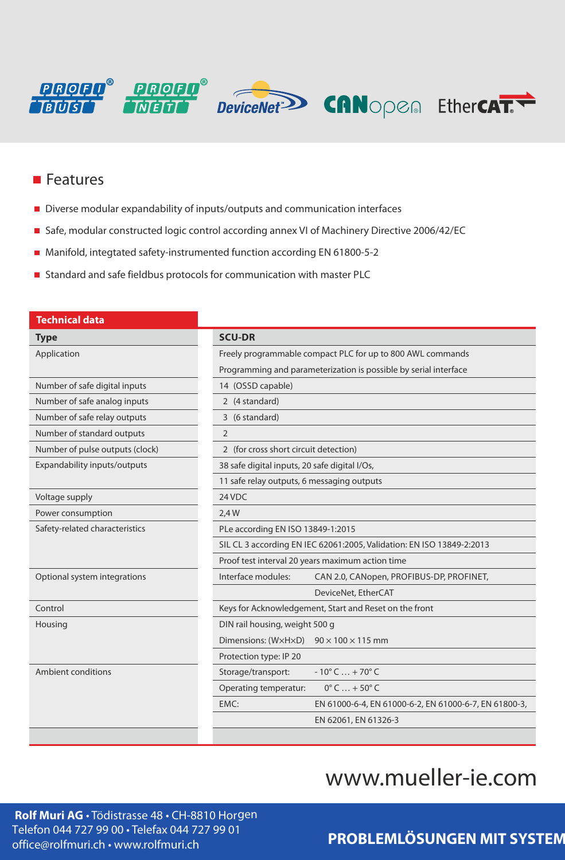

#### $\blacksquare$  Features

- Diverse modular expandability of inputs/outputs and communication interfaces
- Safe, modular constructed logic control according annex VI of Machinery Directive 2006/42/EC
- Manifold, integtated safety-instrumented function according EN 61800-5-2
- Standard and safe fieldbus protocols for communication with master PLC

| Technical data                  |                                                                       |
|---------------------------------|-----------------------------------------------------------------------|
| <b>Type</b>                     | <b>SCU-DR</b>                                                         |
| Application                     | Freely programmable compact PLC for up to 800 AWL commands            |
|                                 | Programming and parameterization is possible by serial interface      |
| Number of safe digital inputs   | 14 (OSSD capable)                                                     |
| Number of safe analog inputs    | 2 (4 standard)                                                        |
| Number of safe relay outputs    | 3 (6 standard)                                                        |
| Number of standard outputs      | 2                                                                     |
| Number of pulse outputs (clock) | 2 (for cross short circuit detection)                                 |
| Expandability inputs/outputs    | 38 safe digital inputs, 20 safe digital I/Os,                         |
|                                 | 11 safe relay outputs, 6 messaging outputs                            |
| Voltage supply                  | 24 VDC                                                                |
| Power consumption               | 2,4 W                                                                 |
| Safety-related characteristics  | PLe according EN ISO 13849-1:2015                                     |
|                                 | SIL CL 3 according EN IEC 62061:2005, Validation: EN ISO 13849-2:2013 |
|                                 | Proof test interval 20 years maximum action time                      |
| Optional system integrations    | Interface modules:<br>CAN 2.0, CANopen, PROFIBUS-DP, PROFINET,        |
|                                 | DeviceNet, EtherCAT                                                   |
| Control                         | Keys for Acknowledgement, Start and Reset on the front                |
| Housing                         | DIN rail housing, weight 500 g                                        |
|                                 | Dimensions: (WxHxD) $90 \times 100 \times 115$ mm                     |
|                                 | Protection type: IP 20                                                |
| Ambient conditions              | $-10^{\circ}$ C  + 70 $^{\circ}$ C<br>Storage/transport:              |
|                                 | $0^\circ$ C $\ldots$ + 50 $^\circ$ C<br>Operating temperatur:         |
|                                 | EMC:<br>EN 61000-6-4, EN 61000-6-2, EN 61000-6-7, EN 61800-3,         |
|                                 | EN 62061, EN 61326-3                                                  |
|                                 |                                                                       |

# www.mueller-ie.com

Rolf Muri AG · Tödistrasse 48 · CH-8810 Horgen Telefon 044 727 99 00 · Telefax 044 727 99 01 office@rolfmuri.ch · www.rolfmuri.ch

# PROBLEMLÖSUNGEN MIT SYSTEM